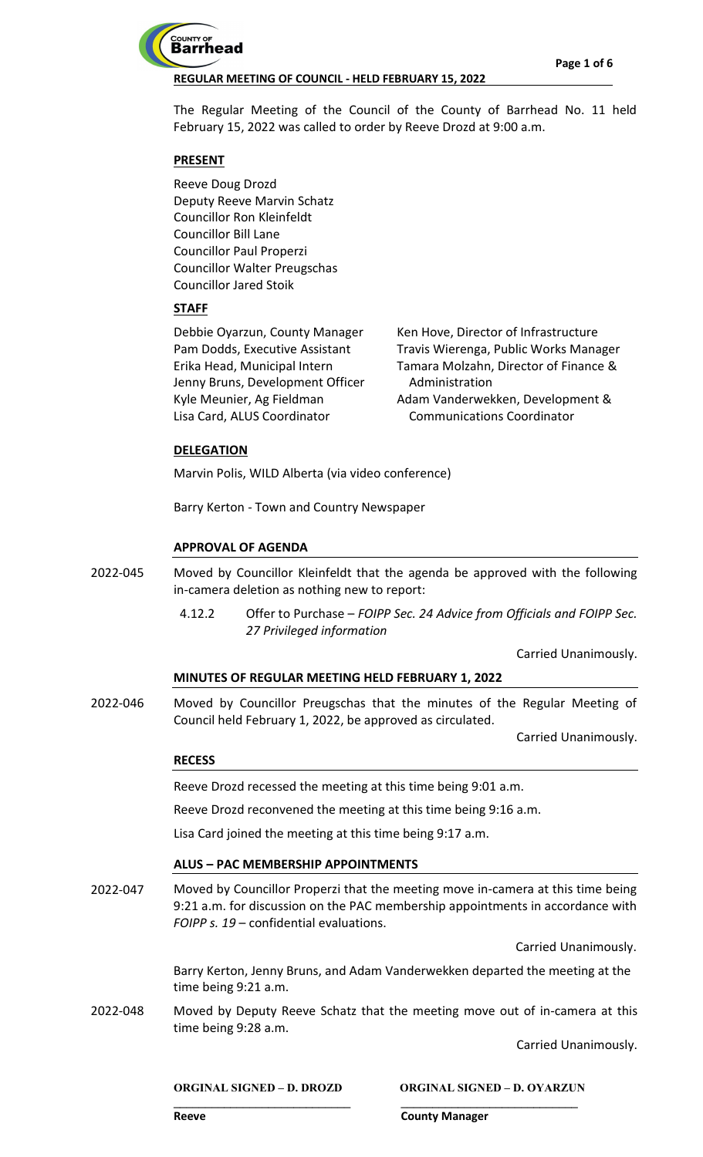

The Regular Meeting of the Council of the County of Barrhead No. 11 held February 15, 2022 was called to order by Reeve Drozd at 9:00 a.m.

# **PRESENT**

Reeve Doug Drozd Deputy Reeve Marvin Schatz Councillor Ron Kleinfeldt Councillor Bill Lane Councillor Paul Properzi Councillor Walter Preugschas Councillor Jared Stoik

# **STAFF**

Debbie Oyarzun, County Manager Pam Dodds, Executive Assistant Erika Head, Municipal Intern Jenny Bruns, Development Officer Kyle Meunier, Ag Fieldman Lisa Card, ALUS Coordinator

Ken Hove, Director of Infrastructure Travis Wierenga, Public Works Manager Tamara Molzahn, Director of Finance & Administration Adam Vanderwekken, Development & Communications Coordinator

## **DELEGATION**

Marvin Polis, WILD Alberta (via video conference)

Barry Kerton - Town and Country Newspaper

## **APPROVAL OF AGENDA**

Moved by Councillor Kleinfeldt that the agenda be approved with the following in-camera deletion as nothing new to report: 2022-045

> 4.12.2 Offer to Purchase – *FOIPP Sec. 24 Advice from Officials and FOIPP Sec. 27 Privileged information*

> > Carried Unanimously.

# **MINUTES OF REGULAR MEETING HELD FEBRUARY 1, 2022**

Moved by Councillor Preugschas that the minutes of the Regular Meeting of Council held February 1, 2022, be approved as circulated. 2022-046

Carried Unanimously.

#### **RECESS**

Reeve Drozd recessed the meeting at this time being 9:01 a.m.

Reeve Drozd reconvened the meeting at this time being 9:16 a.m.

Lisa Card joined the meeting at this time being 9:17 a.m.

#### **ALUS – PAC MEMBERSHIP APPOINTMENTS**

Moved by Councillor Properzi that the meeting move in-camera at this time being 9:21 a.m. for discussion on the PAC membership appointments in accordance with *FOIPP s. 19* – confidential evaluations. 2022-047

Carried Unanimously.

Barry Kerton, Jenny Bruns, and Adam Vanderwekken departed the meeting at the time being 9:21 a.m.

Moved by Deputy Reeve Schatz that the meeting move out of in-camera at this time being 9:28 a.m. 2022-048

**\_\_\_\_\_\_\_\_\_\_\_\_\_\_\_\_\_\_\_\_\_\_\_\_\_\_\_\_ \_\_\_\_\_\_\_\_\_\_\_\_\_\_\_\_\_\_\_\_\_\_\_\_\_\_\_\_**

Carried Unanimously.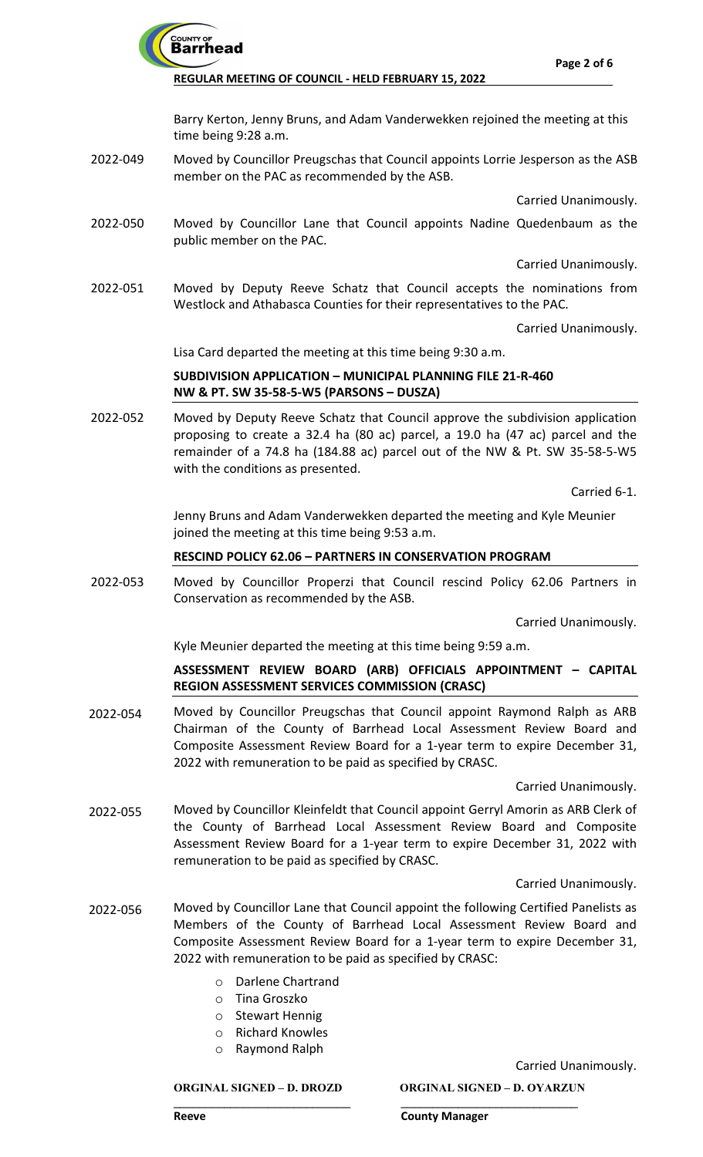

Barry Kerton, Jenny Bruns, and Adam Vanderwekken rejoined the meeting at this time being 9:28 a.m.

Moved by Councillor Preugschas that Council appoints Lorrie Jesperson as the ASB member on the PAC as recommended by the ASB. 2022-049

Carried Unanimously.

Moved by Councillor Lane that Council appoints Nadine Quedenbaum as the public member on the PAC. 2022-050

Carried Unanimously.

Moved by Deputy Reeve Schatz that Council accepts the nominations from Westlock and Athabasca Counties for their representatives to the PAC. 2022-051

Carried Unanimously.

Lisa Card departed the meeting at this time being 9:30 a.m.

## **SUBDIVISION APPLICATION – MUNICIPAL PLANNING FILE 21-R-460 NW & PT. SW 35-58-5-W5 (PARSONS – DUSZA)**

Moved by Deputy Reeve Schatz that Council approve the subdivision application proposing to create a 32.4 ha (80 ac) parcel, a 19.0 ha (47 ac) parcel and the remainder of a 74.8 ha (184.88 ac) parcel out of the NW & Pt. SW 35-58-5-W5 with the conditions as presented. 2022-052

Carried 6-1.

Jenny Bruns and Adam Vanderwekken departed the meeting and Kyle Meunier joined the meeting at this time being 9:53 a.m.

# **RESCIND POLICY 62.06 – PARTNERS IN CONSERVATION PROGRAM**

Moved by Councillor Properzi that Council rescind Policy 62.06 Partners in Conservation as recommended by the ASB. 2022-053

Carried Unanimously.

Kyle Meunier departed the meeting at this time being 9:59 a.m.

## **ASSESSMENT REVIEW BOARD (ARB) OFFICIALS APPOINTMENT – CAPITAL REGION ASSESSMENT SERVICES COMMISSION (CRASC)**

Moved by Councillor Preugschas that Council appoint Raymond Ralph as ARB Chairman of the County of Barrhead Local Assessment Review Board and Composite Assessment Review Board for a 1-year term to expire December 31, 2022 with remuneration to be paid as specified by CRASC. 2022-054

Carried Unanimously.

Moved by Councillor Kleinfeldt that Council appoint Gerryl Amorin as ARB Clerk of the County of Barrhead Local Assessment Review Board and Composite Assessment Review Board for a 1-year term to expire December 31, 2022 with remuneration to be paid as specified by CRASC. 2022-055

#### Carried Unanimously.

- Moved by Councillor Lane that Council appoint the following Certified Panelists as Members of the County of Barrhead Local Assessment Review Board and Composite Assessment Review Board for a 1-year term to expire December 31, 2022 with remuneration to be paid as specified by CRASC: 2022-056
	- o Darlene Chartrand
	- o Tina Groszko
	- o Stewart Hennig
	- o Richard Knowles
	- o Raymond Ralph

Carried Unanimously.

**ORGINAL SIGNED – D. DROZD ORGINAL SIGNED – D. OYARZUN**

#### **\_\_\_\_\_\_\_\_\_\_\_\_\_\_\_\_\_\_\_\_\_\_\_\_\_\_\_\_ \_\_\_\_\_\_\_\_\_\_\_\_\_\_\_\_\_\_\_\_\_\_\_\_\_\_\_\_ Reeve County Manager**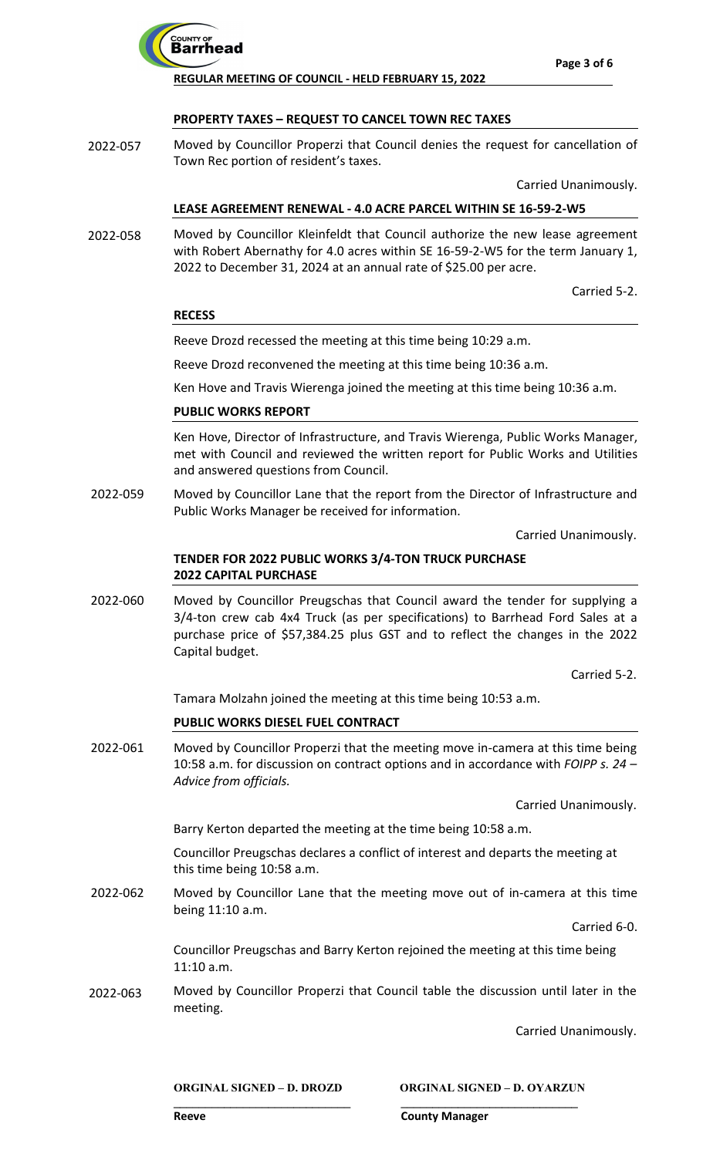

## **PROPERTY TAXES – REQUEST TO CANCEL TOWN REC TAXES**

Moved by Councillor Properzi that Council denies the request for cancellation of Town Rec portion of resident's taxes. 2022-057

Carried Unanimously.

## **LEASE AGREEMENT RENEWAL - 4.0 ACRE PARCEL WITHIN SE 16-59-2-W5**

Moved by Councillor Kleinfeldt that Council authorize the new lease agreement with Robert Abernathy for 4.0 acres within SE 16-59-2-W5 for the term January 1, 2022 to December 31, 2024 at an annual rate of \$25.00 per acre. 2022-058

Carried 5-2.

#### **RECESS**

Reeve Drozd recessed the meeting at this time being 10:29 a.m.

Reeve Drozd reconvened the meeting at this time being 10:36 a.m.

Ken Hove and Travis Wierenga joined the meeting at this time being 10:36 a.m.

## **PUBLIC WORKS REPORT**

Ken Hove, Director of Infrastructure, and Travis Wierenga, Public Works Manager, met with Council and reviewed the written report for Public Works and Utilities and answered questions from Council.

Moved by Councillor Lane that the report from the Director of Infrastructure and Public Works Manager be received for information. 2022-059

Carried Unanimously.

# **TENDER FOR 2022 PUBLIC WORKS 3/4-TON TRUCK PURCHASE 2022 CAPITAL PURCHASE**

Moved by Councillor Preugschas that Council award the tender for supplying a 3/4-ton crew cab 4x4 Truck (as per specifications) to Barrhead Ford Sales at a purchase price of \$57,384.25 plus GST and to reflect the changes in the 2022 Capital budget. 2022-060

Carried 5-2.

Tamara Molzahn joined the meeting at this time being 10:53 a.m.

# **PUBLIC WORKS DIESEL FUEL CONTRACT**

Moved by Councillor Properzi that the meeting move in-camera at this time being 10:58 a.m. for discussion on contract options and in accordance with *FOIPP s. 24 – Advice from officials.* 2022-061

Carried Unanimously.

Barry Kerton departed the meeting at the time being 10:58 a.m.

Councillor Preugschas declares a conflict of interest and departs the meeting at this time being 10:58 a.m.

Moved by Councillor Lane that the meeting move out of in-camera at this time being 11:10 a.m. 2022-062

Carried 6-0.

Councillor Preugschas and Barry Kerton rejoined the meeting at this time being 11:10 a.m.

Moved by Councillor Properzi that Council table the discussion until later in the meeting. 2022-063

**\_\_\_\_\_\_\_\_\_\_\_\_\_\_\_\_\_\_\_\_\_\_\_\_\_\_\_\_ \_\_\_\_\_\_\_\_\_\_\_\_\_\_\_\_\_\_\_\_\_\_\_\_\_\_\_\_**

Carried Unanimously.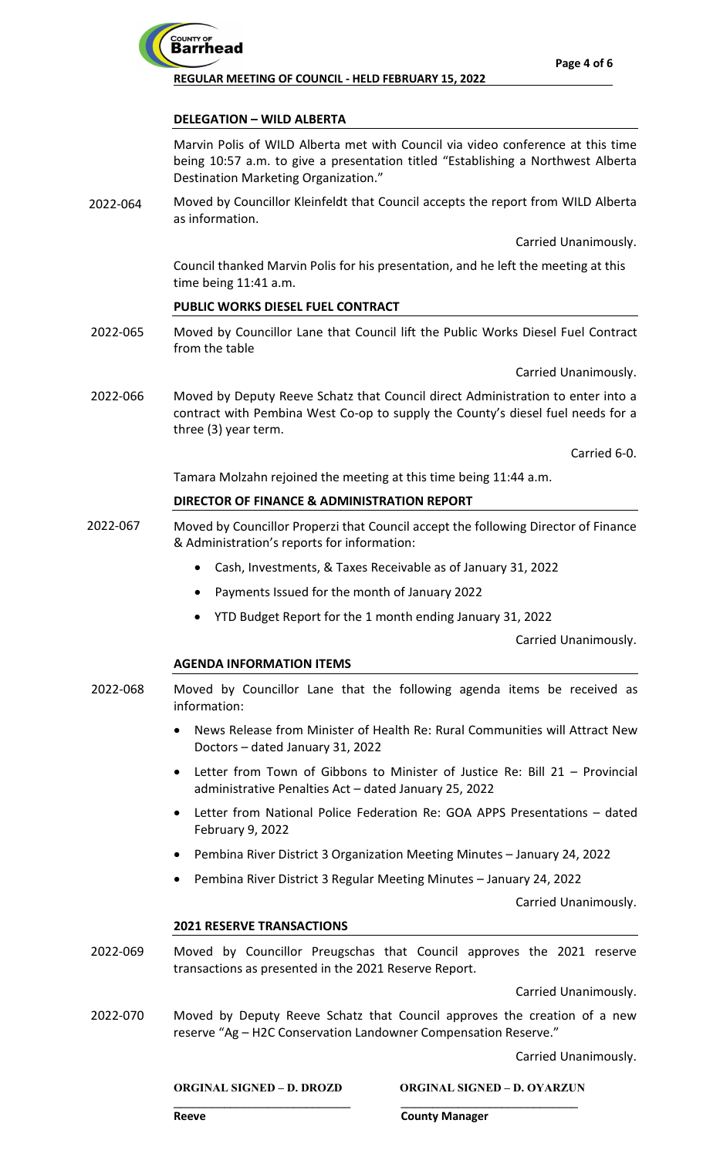

## **DELEGATION – WILD ALBERTA**

Marvin Polis of WILD Alberta met with Council via video conference at this time being 10:57 a.m. to give a presentation titled "Establishing a Northwest Alberta Destination Marketing Organization."

Moved by Councillor Kleinfeldt that Council accepts the report from WILD Alberta as information. 2022-064

Carried Unanimously.

Council thanked Marvin Polis for his presentation, and he left the meeting at this time being 11:41 a.m.

# **PUBLIC WORKS DIESEL FUEL CONTRACT**

Moved by Councillor Lane that Council lift the Public Works Diesel Fuel Contract from the table 2022-065

Carried Unanimously.

Moved by Deputy Reeve Schatz that Council direct Administration to enter into a contract with Pembina West Co-op to supply the County's diesel fuel needs for a three (3) year term. 2022-066

Carried 6-0.

Tamara Molzahn rejoined the meeting at this time being 11:44 a.m.

## **DIRECTOR OF FINANCE & ADMINISTRATION REPORT**

- Moved by Councillor Properzi that Council accept the following Director of Finance & Administration's reports for information: 2022-067
	- Cash, Investments, & Taxes Receivable as of January 31, 2022
	- Payments Issued for the month of January 2022
	- YTD Budget Report for the 1 month ending January 31, 2022

Carried Unanimously.

#### **AGENDA INFORMATION ITEMS**

- Moved by Councillor Lane that the following agenda items be received as information: 2022-068
	- News Release from Minister of Health Re: Rural Communities will Attract New Doctors – dated January 31, 2022
	- Letter from Town of Gibbons to Minister of Justice Re: Bill 21 Provincial administrative Penalties Act – dated January 25, 2022
	- Letter from National Police Federation Re: GOA APPS Presentations dated February 9, 2022
	- Pembina River District 3 Organization Meeting Minutes January 24, 2022
	- Pembina River District 3 Regular Meeting Minutes January 24, 2022

Carried Unanimously.

#### **2021 RESERVE TRANSACTIONS**

Moved by Councillor Preugschas that Council approves the 2021 reserve transactions as presented in the 2021 Reserve Report. 2022-069

Carried Unanimously.

Moved by Deputy Reeve Schatz that Council approves the creation of a new reserve "Ag – H2C Conservation Landowner Compensation Reserve." 2022-070

**\_\_\_\_\_\_\_\_\_\_\_\_\_\_\_\_\_\_\_\_\_\_\_\_\_\_\_\_ \_\_\_\_\_\_\_\_\_\_\_\_\_\_\_\_\_\_\_\_\_\_\_\_\_\_\_\_**

Carried Unanimously.

**ORGINAL SIGNED – D. DROZD ORGINAL SIGNED – D. OYARZUN**

**Reeve County Manager**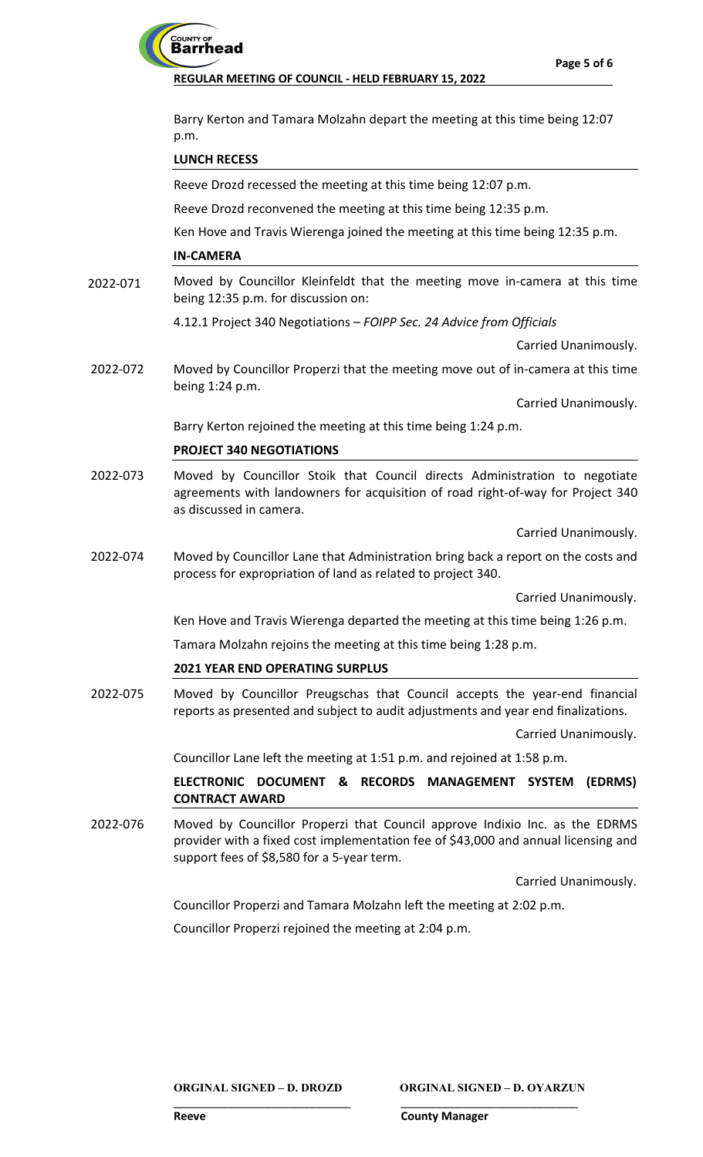# COUNTY OF<br>**Barrhead**

**REGULAR MEETING OF COUNCIL - HELD FEBRUARY 15, 2022**

Barry Kerton and Tamara Molzahn depart the meeting at this time being 12:07 p.m.

# **LUNCH RECESS**

Reeve Drozd recessed the meeting at this time being 12:07 p.m.

Reeve Drozd reconvened the meeting at this time being 12:35 p.m.

Ken Hove and Travis Wierenga joined the meeting at this time being 12:35 p.m.

## **IN-CAMERA**

Moved by Councillor Kleinfeldt that the meeting move in-camera at this time being 12:35 p.m. for discussion on: 2022-071

4.12.1 Project 340 Negotiations – *FOIPP Sec. 24 Advice from Officials*

Carried Unanimously.

Moved by Councillor Properzi that the meeting move out of in-camera at this time being 1:24 p.m. 2022-072

Carried Unanimously.

Barry Kerton rejoined the meeting at this time being 1:24 p.m.

# **PROJECT 340 NEGOTIATIONS**

Moved by Councillor Stoik that Council directs Administration to negotiate agreements with landowners for acquisition of road right-of-way for Project 340 as discussed in camera. 2022-073

Carried Unanimously.

Moved by Councillor Lane that Administration bring back a report on the costs and process for expropriation of land as related to project 340. 2022-074

Carried Unanimously.

Ken Hove and Travis Wierenga departed the meeting at this time being 1:26 p.m.

Tamara Molzahn rejoins the meeting at this time being 1:28 p.m.

# **2021 YEAR END OPERATING SURPLUS**

Moved by Councillor Preugschas that Council accepts the year-end financial reports as presented and subject to audit adjustments and year end finalizations. 2022-075

Carried Unanimously.

Councillor Lane left the meeting at 1:51 p.m. and rejoined at 1:58 p.m.

**ELECTRONIC DOCUMENT & RECORDS MANAGEMENT SYSTEM (EDRMS) CONTRACT AWARD**

Moved by Councillor Properzi that Council approve Indixio Inc. as the EDRMS provider with a fixed cost implementation fee of \$43,000 and annual licensing and support fees of \$8,580 for a 5-year term. 2022-076

Carried Unanimously.

Councillor Properzi and Tamara Molzahn left the meeting at 2:02 p.m.

**\_\_\_\_\_\_\_\_\_\_\_\_\_\_\_\_\_\_\_\_\_\_\_\_\_\_\_\_ \_\_\_\_\_\_\_\_\_\_\_\_\_\_\_\_\_\_\_\_\_\_\_\_\_\_\_\_**

Councillor Properzi rejoined the meeting at 2:04 p.m.